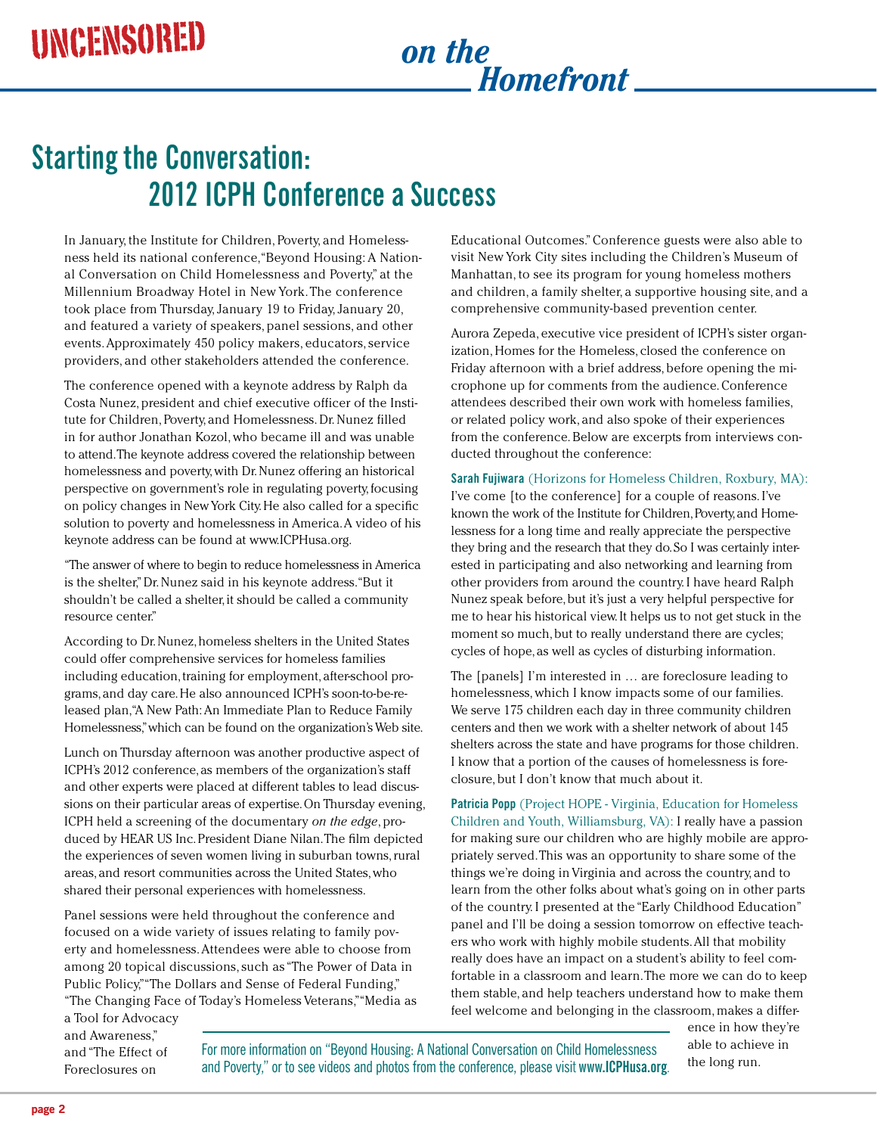## *on the Homefront*

# **Starting the Conversation: 2012 ICPH Conference a Success**

In January, the Institute for Children, Poverty, and Homelessness held its national conference, "Beyond Housing: A National Conversation on Child Homelessness and Poverty," at the Millennium Broadway Hotel in New York. The conference took place from Thursday, January 19 to Friday, January 20, and featured a variety of speakers, panel sessions, and other events. Approximately 450 policy makers, educators, service providers, and other stakeholders attended the conference.

The conference opened with a keynote address by Ralph da Costa Nunez, president and chief executive officer of the Institute for Children, Poverty, and Homelessness. Dr. Nunez filled in for author Jonathan Kozol, who became ill and was unable to attend. The keynote address covered the relationship between homelessness and poverty, with Dr. Nunez offering an historical perspective on government's role in regulating poverty, focusing on policy changes in New York City. He also called for a specific solution to poverty and homelessness in America. A video of his keynote address can be found at www.ICPHusa.org.

"The answer of where to begin to reduce homelessness in America is the shelter," Dr. Nunez said in his keynote address. "But it shouldn't be called a shelter, it should be called a community resource center."

According to Dr. Nunez, homeless shelters in the United States could offer comprehensive services for homeless families including education, training for employment, after-school programs, and day care. He also announced ICPH's soon-to-be-released plan, "A New Path: An Immediate Plan to Reduce Family Homelessness," which can be found on the organization's Web site.

Lunch on Thursday afternoon was another productive aspect of ICPH's 2012 conference, as members of the organization's staff and other experts were placed at different tables to lead discussions on their particular areas of expertise. On Thursday evening, ICPH held a screening of the documentary *on the edge*, produced by HEAR US Inc. President Diane Nilan. The film depicted the experiences of seven women living in suburban towns, rural areas, and resort communities across the United States, who shared their personal experiences with homelessness.

Panel sessions were held throughout the conference and focused on a wide variety of issues relating to family poverty and homelessness. Attendees were able to choose from among 20 topical discussions, such as "The Power of Data in Public Policy," "The Dollars and Sense of Federal Funding," "The Changing Face of Today's Homeless Veterans," "Media as Educational Outcomes." Conference guests were also able to visit New York City sites including the Children's Museum of Manhattan, to see its program for young homeless mothers and children, a family shelter, a supportive housing site, and a comprehensive community-based prevention center.

Aurora Zepeda, executive vice president of ICPH's sister organization, Homes for the Homeless, closed the conference on Friday afternoon with a brief address, before opening the microphone up for comments from the audience. Conference attendees described their own work with homeless families, or related policy work, and also spoke of their experiences from the conference. Below are excerpts from interviews conducted throughout the conference:

**Sarah Fujiwara** (Horizons for Homeless Children, Roxbury, MA): I've come [to the conference] for a couple of reasons. I've known the work of the Institute for Children, Poverty, and Homelessness for a long time and really appreciate the perspective they bring and the research that they do. So I was certainly interested in participating and also networking and learning from other providers from around the country. I have heard Ralph Nunez speak before, but it's just a very helpful perspective for me to hear his historical view. It helps us to not get stuck in the moment so much, but to really understand there are cycles; cycles of hope, as well as cycles of disturbing information.

The [panels] I'm interested in … are foreclosure leading to homelessness, which I know impacts some of our families. We serve 175 children each day in three community children centers and then we work with a shelter network of about 145 shelters across the state and have programs for those children. I know that a portion of the causes of homelessness is foreclosure, but I don't know that much about it.

**Patricia Popp** (Project HOPE - Virginia, Education for Homeless Children and Youth, Williamsburg, VA): I really have a passion for making sure our children who are highly mobile are appropriately served. This was an opportunity to share some of the things we're doing in Virginia and across the country, and to learn from the other folks about what's going on in other parts of the country. I presented at the "Early Childhood Education" panel and I'll be doing a session tomorrow on effective teachers who work with highly mobile students. All that mobility really does have an impact on a student's ability to feel comfortable in a classroom and learn. The more we can do to keep them stable, and help teachers understand how to make them feel welcome and belonging in the classroom, makes a differ-

a Tool for Advocacy and Awareness," and "The Effect of Foreclosures on

For more information on "Beyond Housing: A National Conversation on Child Homelessness and Poverty," or to see videos and photos from the conference, please visit **www.ICPHusa.org**.

ence in how they're able to achieve in the long run.